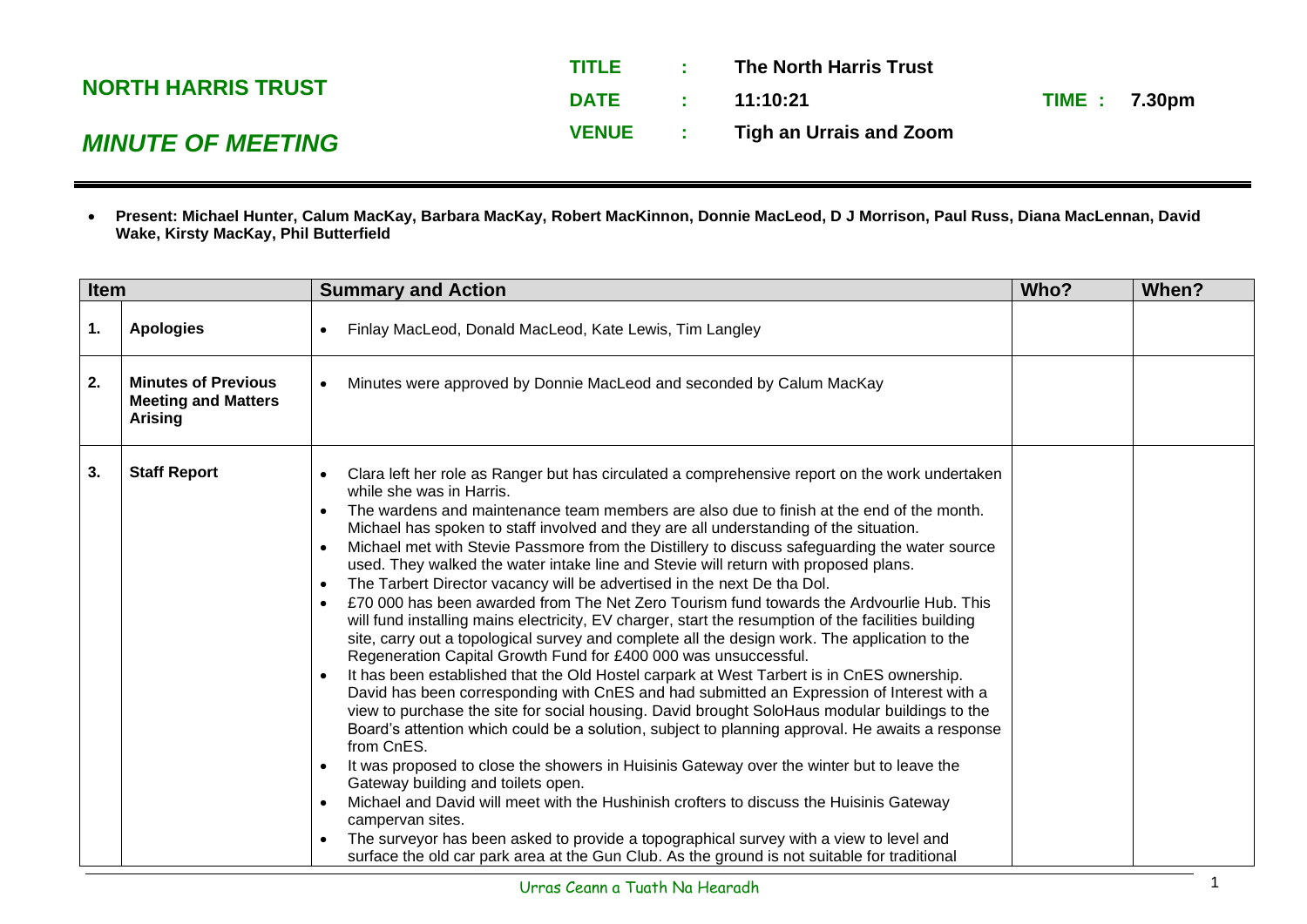|                           | TITLE        | <b>The North Harris Trust</b>  |                      |
|---------------------------|--------------|--------------------------------|----------------------|
| <b>NORTH HARRIS TRUST</b> | DATE:        | 11:10:21                       | <b>TIME : 7.30pm</b> |
| <b>MINUTE OF MEETING</b>  | <b>VENUE</b> | <b>Tigh an Urrais and Zoom</b> |                      |

• **Present: Michael Hunter, Calum MacKay, Barbara MacKay, Robert MacKinnon, Donnie MacLeod, D J Morrison, Paul Russ, Diana MacLennan, David Wake, Kirsty MacKay, Phil Butterfield**

| <b>Item</b> |                                                                            | <b>Summary and Action</b>                                                                                                                                                                                                                                                                                                                                                                                                                                                                                                                                                                                                                                                                                                                                                                                                                                                                                                                                                                                                                                                                                                                                                                                                                                                                                                                                                                                                                                                                                                                                                                                                                                                                                                                                                                                                                                                                                    | Who? | When? |
|-------------|----------------------------------------------------------------------------|--------------------------------------------------------------------------------------------------------------------------------------------------------------------------------------------------------------------------------------------------------------------------------------------------------------------------------------------------------------------------------------------------------------------------------------------------------------------------------------------------------------------------------------------------------------------------------------------------------------------------------------------------------------------------------------------------------------------------------------------------------------------------------------------------------------------------------------------------------------------------------------------------------------------------------------------------------------------------------------------------------------------------------------------------------------------------------------------------------------------------------------------------------------------------------------------------------------------------------------------------------------------------------------------------------------------------------------------------------------------------------------------------------------------------------------------------------------------------------------------------------------------------------------------------------------------------------------------------------------------------------------------------------------------------------------------------------------------------------------------------------------------------------------------------------------------------------------------------------------------------------------------------------------|------|-------|
| 1.          | <b>Apologies</b>                                                           | Finlay MacLeod, Donald MacLeod, Kate Lewis, Tim Langley<br>$\bullet$                                                                                                                                                                                                                                                                                                                                                                                                                                                                                                                                                                                                                                                                                                                                                                                                                                                                                                                                                                                                                                                                                                                                                                                                                                                                                                                                                                                                                                                                                                                                                                                                                                                                                                                                                                                                                                         |      |       |
| 2.          | <b>Minutes of Previous</b><br><b>Meeting and Matters</b><br><b>Arising</b> | Minutes were approved by Donnie MacLeod and seconded by Calum MacKay<br>$\bullet$                                                                                                                                                                                                                                                                                                                                                                                                                                                                                                                                                                                                                                                                                                                                                                                                                                                                                                                                                                                                                                                                                                                                                                                                                                                                                                                                                                                                                                                                                                                                                                                                                                                                                                                                                                                                                            |      |       |
| 3.          | <b>Staff Report</b>                                                        | Clara left her role as Ranger but has circulated a comprehensive report on the work undertaken<br>$\bullet$<br>while she was in Harris.<br>The wardens and maintenance team members are also due to finish at the end of the month.<br>Michael has spoken to staff involved and they are all understanding of the situation.<br>Michael met with Stevie Passmore from the Distillery to discuss safeguarding the water source<br>$\bullet$<br>used. They walked the water intake line and Stevie will return with proposed plans.<br>The Tarbert Director vacancy will be advertised in the next De tha Dol.<br>$\bullet$<br>£70,000 has been awarded from The Net Zero Tourism fund towards the Ardvourlie Hub. This<br>$\bullet$<br>will fund installing mains electricity, EV charger, start the resumption of the facilities building<br>site, carry out a topological survey and complete all the design work. The application to the<br>Regeneration Capital Growth Fund for £400 000 was unsuccessful.<br>It has been established that the Old Hostel carpark at West Tarbert is in CnES ownership.<br>$\bullet$<br>David has been corresponding with CnES and had submitted an Expression of Interest with a<br>view to purchase the site for social housing. David brought SoloHaus modular buildings to the<br>Board's attention which could be a solution, subject to planning approval. He awaits a response<br>from CnES.<br>It was proposed to close the showers in Huisinis Gateway over the winter but to leave the<br>$\bullet$<br>Gateway building and toilets open.<br>Michael and David will meet with the Hushinish crofters to discuss the Huisinis Gateway<br>$\bullet$<br>campervan sites.<br>The surveyor has been asked to provide a topographical survey with a view to level and<br>surface the old car park area at the Gun Club. As the ground is not suitable for traditional |      |       |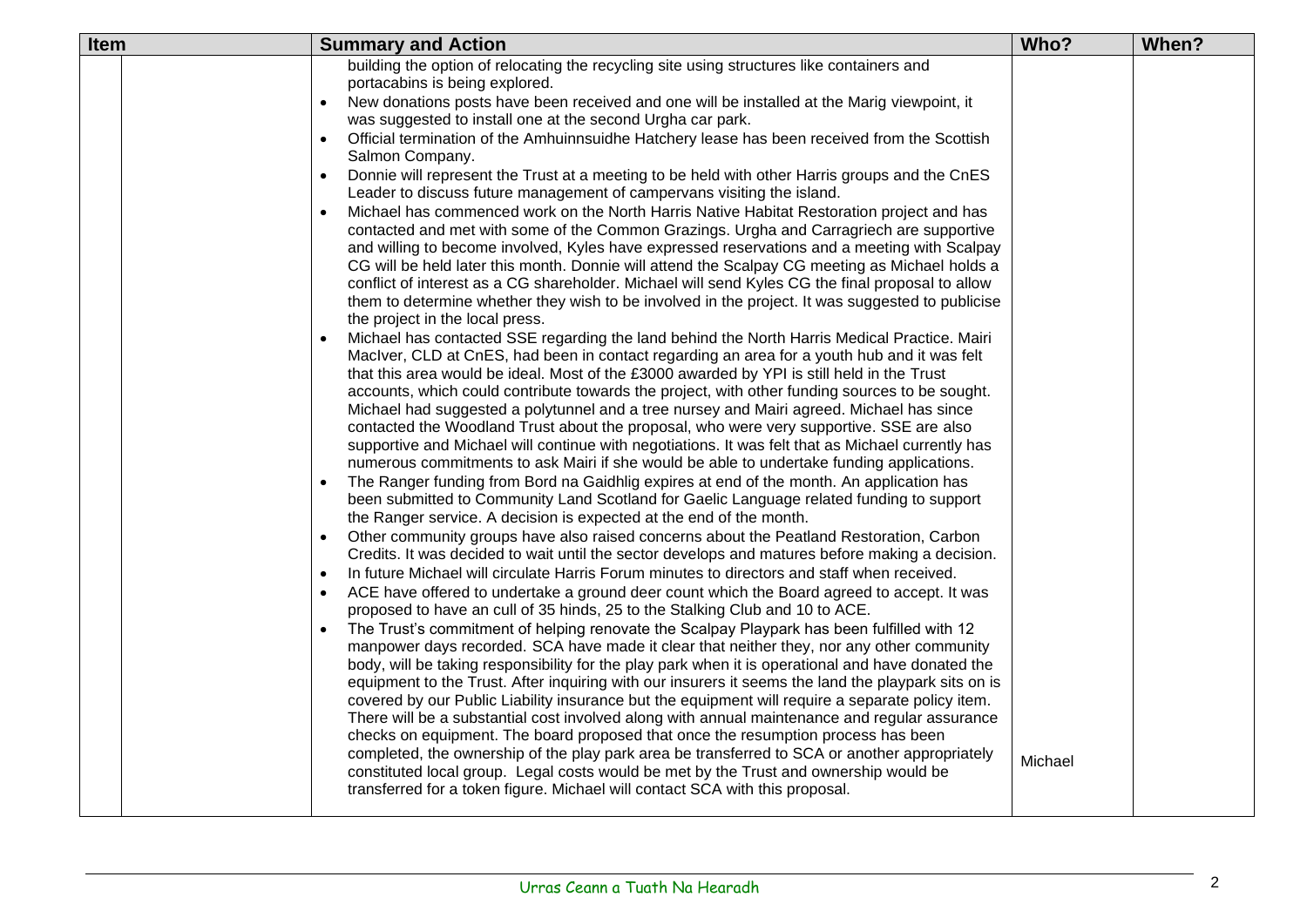| Item | <b>Summary and Action</b>                                                                                                                                                                                                                                                                                                                                                                                                                                                                                                                                                                                                                                                                                                                                                                                                                                                                                                                                                                                                                                                                                                                                                                                                                                                                                                                                                                                                                                                                                                                                                                                                                                                                                                                                                                                                                                                                                                                                                                                                                                                                                                                                                                                                                                                                                                                                                                                                                                                                                                                                                                                                                                                                                                                                                                                                                                                                                                                                                                                                                                                                                                                                                                                                                                                                                                                                                                                                                                                                                                                                                                                                                                                                                                                                                                                               | Who?    | When? |
|------|-------------------------------------------------------------------------------------------------------------------------------------------------------------------------------------------------------------------------------------------------------------------------------------------------------------------------------------------------------------------------------------------------------------------------------------------------------------------------------------------------------------------------------------------------------------------------------------------------------------------------------------------------------------------------------------------------------------------------------------------------------------------------------------------------------------------------------------------------------------------------------------------------------------------------------------------------------------------------------------------------------------------------------------------------------------------------------------------------------------------------------------------------------------------------------------------------------------------------------------------------------------------------------------------------------------------------------------------------------------------------------------------------------------------------------------------------------------------------------------------------------------------------------------------------------------------------------------------------------------------------------------------------------------------------------------------------------------------------------------------------------------------------------------------------------------------------------------------------------------------------------------------------------------------------------------------------------------------------------------------------------------------------------------------------------------------------------------------------------------------------------------------------------------------------------------------------------------------------------------------------------------------------------------------------------------------------------------------------------------------------------------------------------------------------------------------------------------------------------------------------------------------------------------------------------------------------------------------------------------------------------------------------------------------------------------------------------------------------------------------------------------------------------------------------------------------------------------------------------------------------------------------------------------------------------------------------------------------------------------------------------------------------------------------------------------------------------------------------------------------------------------------------------------------------------------------------------------------------------------------------------------------------------------------------------------------------------------------------------------------------------------------------------------------------------------------------------------------------------------------------------------------------------------------------------------------------------------------------------------------------------------------------------------------------------------------------------------------------------------------------------------------------------------------------------------------------|---------|-------|
|      | building the option of relocating the recycling site using structures like containers and<br>portacabins is being explored.<br>New donations posts have been received and one will be installed at the Marig viewpoint, it<br>$\bullet$<br>was suggested to install one at the second Urgha car park.<br>Official termination of the Amhuinnsuidhe Hatchery lease has been received from the Scottish<br>$\bullet$<br>Salmon Company.<br>Donnie will represent the Trust at a meeting to be held with other Harris groups and the CnES<br>Leader to discuss future management of campervans visiting the island.<br>Michael has commenced work on the North Harris Native Habitat Restoration project and has<br>$\bullet$<br>contacted and met with some of the Common Grazings. Urgha and Carragriech are supportive<br>and willing to become involved, Kyles have expressed reservations and a meeting with Scalpay<br>CG will be held later this month. Donnie will attend the Scalpay CG meeting as Michael holds a<br>conflict of interest as a CG shareholder. Michael will send Kyles CG the final proposal to allow<br>them to determine whether they wish to be involved in the project. It was suggested to publicise<br>the project in the local press.<br>Michael has contacted SSE regarding the land behind the North Harris Medical Practice. Mairi<br>MacIver, CLD at CnES, had been in contact regarding an area for a youth hub and it was felt<br>that this area would be ideal. Most of the £3000 awarded by YPI is still held in the Trust<br>accounts, which could contribute towards the project, with other funding sources to be sought.<br>Michael had suggested a polytunnel and a tree nursey and Mairi agreed. Michael has since<br>contacted the Woodland Trust about the proposal, who were very supportive. SSE are also<br>supportive and Michael will continue with negotiations. It was felt that as Michael currently has<br>numerous commitments to ask Mairi if she would be able to undertake funding applications.<br>The Ranger funding from Bord na Gaidhlig expires at end of the month. An application has<br>been submitted to Community Land Scotland for Gaelic Language related funding to support<br>the Ranger service. A decision is expected at the end of the month.<br>Other community groups have also raised concerns about the Peatland Restoration, Carbon<br>$\bullet$<br>Credits. It was decided to wait until the sector develops and matures before making a decision.<br>In future Michael will circulate Harris Forum minutes to directors and staff when received.<br>$\bullet$<br>ACE have offered to undertake a ground deer count which the Board agreed to accept. It was<br>$\bullet$<br>proposed to have an cull of 35 hinds, 25 to the Stalking Club and 10 to ACE.<br>The Trust's commitment of helping renovate the Scalpay Playpark has been fulfilled with 12<br>manpower days recorded. SCA have made it clear that neither they, nor any other community<br>body, will be taking responsibility for the play park when it is operational and have donated the<br>equipment to the Trust. After inquiring with our insurers it seems the land the playpark sits on is<br>covered by our Public Liability insurance but the equipment will require a separate policy item.<br>There will be a substantial cost involved along with annual maintenance and regular assurance<br>checks on equipment. The board proposed that once the resumption process has been<br>completed, the ownership of the play park area be transferred to SCA or another appropriately<br>constituted local group. Legal costs would be met by the Trust and ownership would be<br>transferred for a token figure. Michael will contact SCA with this proposal. | Michael |       |